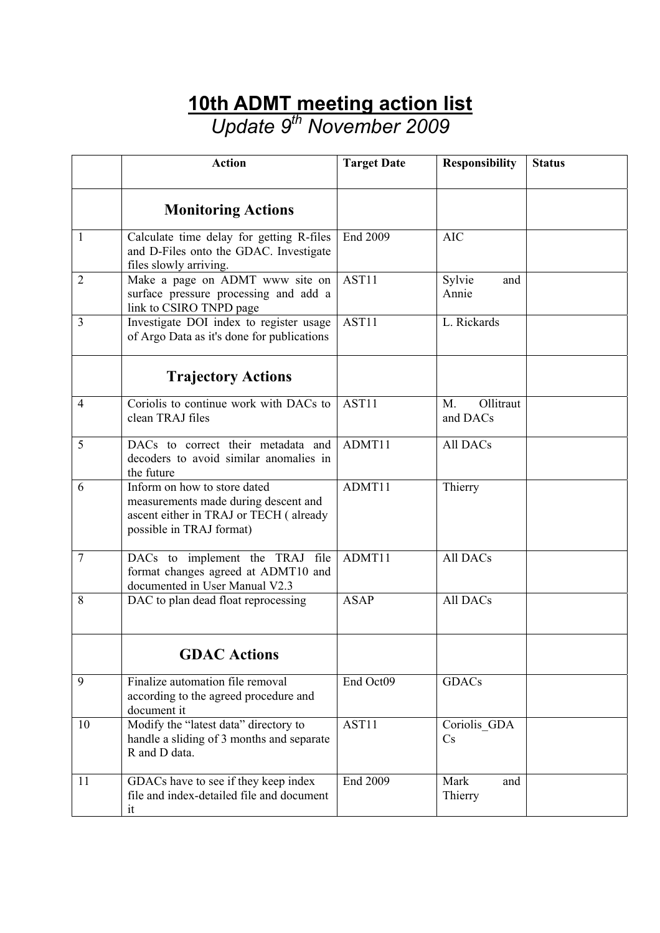## **10th ADMT meeting action list**

*Update 9th November 2009* 

|                | <b>Action</b>                                                                                                                              | <b>Target Date</b> | <b>Responsibility</b>       | <b>Status</b> |
|----------------|--------------------------------------------------------------------------------------------------------------------------------------------|--------------------|-----------------------------|---------------|
|                | <b>Monitoring Actions</b>                                                                                                                  |                    |                             |               |
| 1              | Calculate time delay for getting R-files<br>and D-Files onto the GDAC. Investigate<br>files slowly arriving.                               | End 2009           | <b>AIC</b>                  |               |
| $\overline{2}$ | Make a page on ADMT www site on<br>surface pressure processing and add a<br>link to CSIRO TNPD page                                        | AST11              | Sylvie<br>and<br>Annie      |               |
| 3              | Investigate DOI index to register usage<br>of Argo Data as it's done for publications                                                      | AST11              | L. Rickards                 |               |
|                | <b>Trajectory Actions</b>                                                                                                                  |                    |                             |               |
| $\overline{4}$ | Coriolis to continue work with DACs to<br>clean TRAJ files                                                                                 | AST11              | Ollitraut<br>M.<br>and DACs |               |
| 5              | DACs to correct their metadata and<br>decoders to avoid similar anomalies in<br>the future                                                 | ADMT11             | <b>All DACs</b>             |               |
| 6              | Inform on how to store dated<br>measurements made during descent and<br>ascent either in TRAJ or TECH (already<br>possible in TRAJ format) | ADMT11             | Thierry                     |               |
| $\overline{7}$ | DACs to implement the TRAJ file<br>format changes agreed at ADMT10 and<br>documented in User Manual V2.3                                   | ADMT11             | All DACs                    |               |
| 8              | DAC to plan dead float reprocessing                                                                                                        | <b>ASAP</b>        | All DACs                    |               |
|                | <b>GDAC Actions</b>                                                                                                                        |                    |                             |               |
| 9              | Finalize automation file removal<br>according to the agreed procedure and<br>document it                                                   | End Oct09          | GDACs                       |               |
| 10             | Modify the "latest data" directory to<br>handle a sliding of 3 months and separate<br>R and D data.                                        | AST11              | Coriolis GDA<br>Cs          |               |
| 11             | GDACs have to see if they keep index<br>file and index-detailed file and document<br>it                                                    | End 2009           | Mark<br>and<br>Thierry      |               |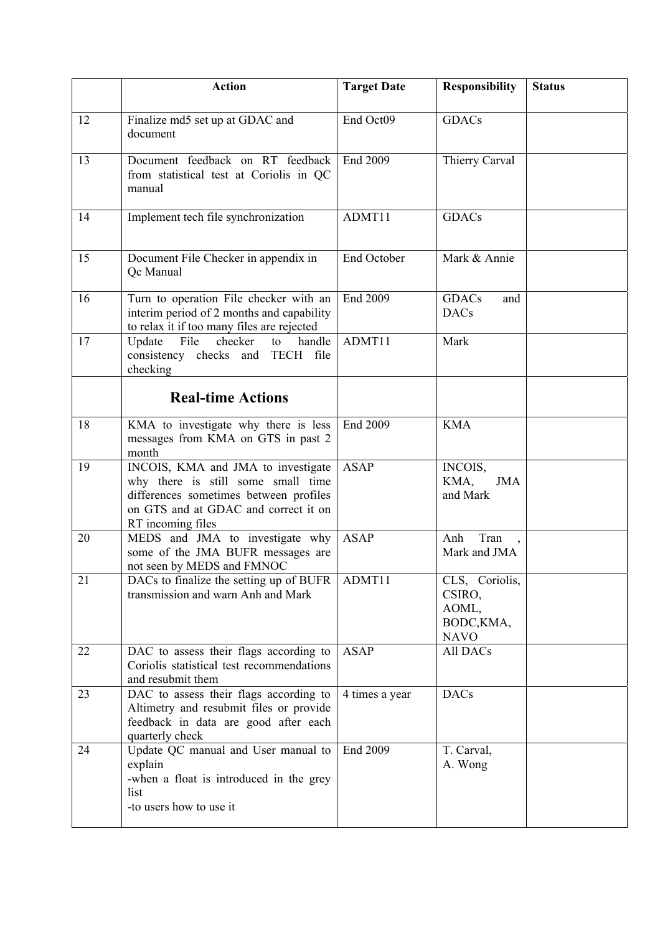|    | <b>Action</b>                                                                                                                                                                   | <b>Target Date</b> | <b>Responsibility</b>                                          | <b>Status</b> |
|----|---------------------------------------------------------------------------------------------------------------------------------------------------------------------------------|--------------------|----------------------------------------------------------------|---------------|
| 12 | Finalize md5 set up at GDAC and<br>document                                                                                                                                     | End Oct09          | <b>GDACs</b>                                                   |               |
| 13 | Document feedback on RT feedback<br>from statistical test at Coriolis in QC<br>manual                                                                                           | End 2009           | Thierry Carval                                                 |               |
| 14 | Implement tech file synchronization                                                                                                                                             | ADMT11             | <b>GDACs</b>                                                   |               |
| 15 | Document File Checker in appendix in<br>Qc Manual                                                                                                                               | End October        | Mark & Annie                                                   |               |
| 16 | Turn to operation File checker with an<br>interim period of 2 months and capability<br>to relax it if too many files are rejected                                               | End 2009           | <b>GDACs</b><br>and<br><b>DACs</b>                             |               |
| 17 | File<br>checker<br>Update<br>handle<br>to<br>consistency checks and TECH file<br>checking                                                                                       | ADMT11             | Mark                                                           |               |
|    | <b>Real-time Actions</b>                                                                                                                                                        |                    |                                                                |               |
| 18 | KMA to investigate why there is less<br>messages from KMA on GTS in past 2<br>month                                                                                             | End 2009           | <b>KMA</b>                                                     |               |
| 19 | INCOIS, KMA and JMA to investigate<br>why there is still some small time<br>differences sometimes between profiles<br>on GTS and at GDAC and correct it on<br>RT incoming files | <b>ASAP</b>        | INCOIS,<br>KMA,<br><b>JMA</b><br>and Mark                      |               |
| 20 | MEDS and JMA to investigate why<br>some of the JMA BUFR messages are<br>not seen by MEDS and FMNOC                                                                              | <b>ASAP</b>        | Tran<br>Anh<br>Mark and JMA                                    |               |
| 21 | DACs to finalize the setting up of BUFR<br>transmission and warn Anh and Mark                                                                                                   | ADMT11             | CLS, Coriolis,<br>CSIRO,<br>AOML,<br>BODC, KMA,<br><b>NAVO</b> |               |
| 22 | DAC to assess their flags according to<br>Coriolis statistical test recommendations<br>and resubmit them                                                                        | <b>ASAP</b>        | All DACs                                                       |               |
| 23 | DAC to assess their flags according to<br>Altimetry and resubmit files or provide<br>feedback in data are good after each<br>quarterly check                                    | 4 times a year     | <b>DACs</b>                                                    |               |
| 24 | Update QC manual and User manual to<br>explain<br>-when a float is introduced in the grey<br>list<br>-to users how to use it                                                    | End 2009           | T. Carval,<br>A. Wong                                          |               |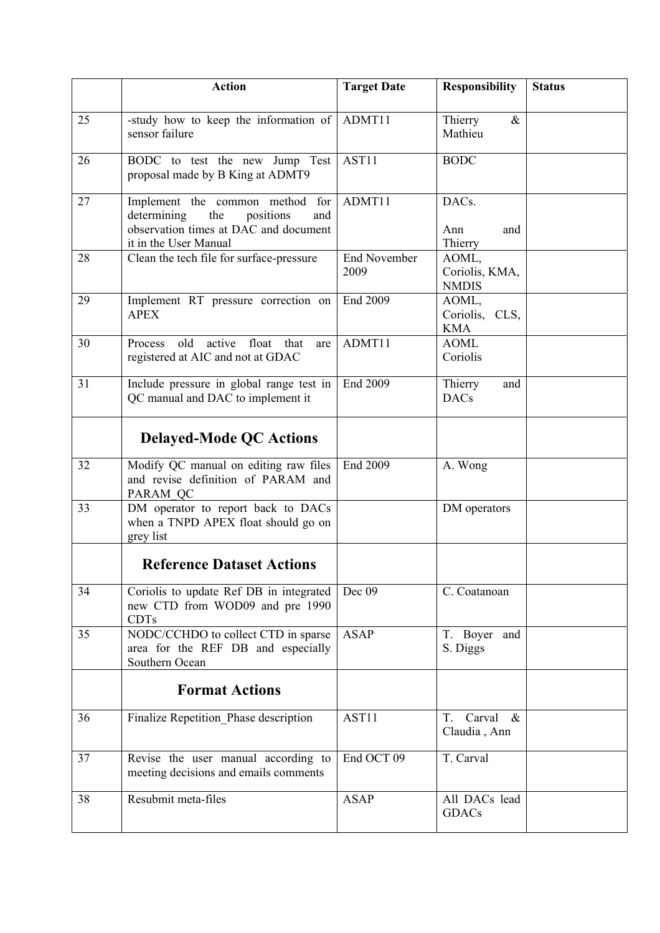|    | <b>Action</b>                                                                                                                               | <b>Target Date</b>          | <b>Responsibility</b>                   | <b>Status</b> |
|----|---------------------------------------------------------------------------------------------------------------------------------------------|-----------------------------|-----------------------------------------|---------------|
| 25 | -study how to keep the information of<br>sensor failure                                                                                     | ADMT11                      | Thierry<br>$\&$<br>Mathieu              |               |
| 26 | BODC to test the new Jump Test<br>proposal made by B King at ADMT9                                                                          | AST11                       | <b>BODC</b>                             |               |
| 27 | Implement the common method for<br>determining<br>the<br>positions<br>and<br>observation times at DAC and document<br>it in the User Manual | ADMT11                      | DACs.<br>Ann<br>and<br>Thierry          |               |
| 28 | Clean the tech file for surface-pressure                                                                                                    | <b>End November</b><br>2009 | AOML,<br>Coriolis, KMA,<br><b>NMDIS</b> |               |
| 29 | Implement RT pressure correction on<br><b>APEX</b>                                                                                          | End 2009                    | AOML,<br>Coriolis, CLS,<br><b>KMA</b>   |               |
| 30 | active float<br>old<br>that<br>Process<br>are<br>registered at AIC and not at GDAC                                                          | ADMT11                      | <b>AOML</b><br>Coriolis                 |               |
| 31 | Include pressure in global range test in<br>QC manual and DAC to implement it                                                               | End 2009                    | Thierry<br>and<br><b>DACs</b>           |               |
|    | <b>Delayed-Mode QC Actions</b>                                                                                                              |                             |                                         |               |
| 32 | Modify QC manual on editing raw files<br>and revise definition of PARAM and<br>PARAM QC                                                     | End 2009                    | A. Wong                                 |               |
| 33 | DM operator to report back to DACs<br>when a TNPD APEX float should go on<br>grey list                                                      |                             | DM operators                            |               |
|    | <b>Reference Dataset Actions</b>                                                                                                            |                             |                                         |               |
| 34 | Coriolis to update Ref DB in integrated<br>new CTD from WOD09 and pre 1990<br><b>CDTs</b>                                                   | Dec 09                      | C. Coatanoan                            |               |
| 35 | NODC/CCHDO to collect CTD in sparse<br>area for the REF DB and especially<br>Southern Ocean                                                 | <b>ASAP</b>                 | T. Boyer and<br>S. Diggs                |               |
|    | <b>Format Actions</b>                                                                                                                       |                             |                                         |               |
| 36 | Finalize Repetition_Phase description                                                                                                       | AST11                       | Carval<br>T.<br>$\&$<br>Claudia, Ann    |               |
| 37 | Revise the user manual according to<br>meeting decisions and emails comments                                                                | End OCT 09                  | T. Carval                               |               |
| 38 | Resubmit meta-files                                                                                                                         | <b>ASAP</b>                 | All DACs lead<br><b>GDACs</b>           |               |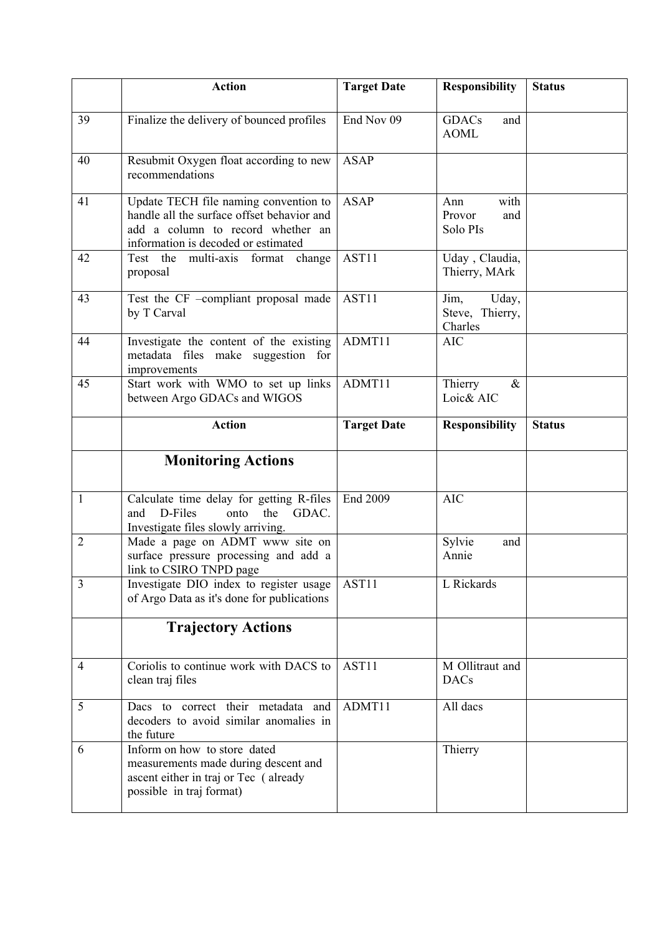|                | <b>Action</b>                                                                                                                                                   | <b>Target Date</b> | <b>Responsibility</b>                       | <b>Status</b> |
|----------------|-----------------------------------------------------------------------------------------------------------------------------------------------------------------|--------------------|---------------------------------------------|---------------|
| 39             | Finalize the delivery of bounced profiles                                                                                                                       | End Nov 09         | <b>GDACs</b><br>and<br><b>AOML</b>          |               |
| 40             | Resubmit Oxygen float according to new<br>recommendations                                                                                                       | <b>ASAP</b>        |                                             |               |
| 41             | Update TECH file naming convention to<br>handle all the surface offset behavior and<br>add a column to record whether an<br>information is decoded or estimated | <b>ASAP</b>        | with<br>Ann<br>Provor<br>and<br>Solo PIs    |               |
| 42             | Test the multi-axis format change<br>proposal                                                                                                                   | AST11              | Uday, Claudia,<br>Thierry, MArk             |               |
| 43             | Test the CF -compliant proposal made<br>by T Carval                                                                                                             | AST11              | Uday,<br>Jim,<br>Steve, Thierry,<br>Charles |               |
| 44             | Investigate the content of the existing<br>metadata files make suggestion for<br>improvements                                                                   | ADMT11             | <b>AIC</b>                                  |               |
| 45             | Start work with WMO to set up links<br>between Argo GDACs and WIGOS                                                                                             | ADMT11             | Thierry<br>$\&$<br>Loic& AIC                |               |
|                | <b>Action</b>                                                                                                                                                   | <b>Target Date</b> | <b>Responsibility</b>                       | <b>Status</b> |
|                | <b>Monitoring Actions</b>                                                                                                                                       |                    |                                             |               |
| 1              | Calculate time delay for getting R-files<br>D-Files<br>GDAC.<br>and<br>onto<br>the<br>Investigate files slowly arriving.                                        | End 2009           | <b>AIC</b>                                  |               |
| $\overline{2}$ | Made a page on ADMT www site on<br>surface pressure processing and add a<br>link to CSIRO TNPD page                                                             |                    | Sylvie<br>and<br>Annie                      |               |
| $\overline{3}$ | Investigate DIO index to register usage<br>of Argo Data as it's done for publications                                                                           | AST11              | L Rickards                                  |               |
|                | <b>Trajectory Actions</b>                                                                                                                                       |                    |                                             |               |
| $\overline{4}$ | Coriolis to continue work with DACS to<br>clean traj files                                                                                                      | AST11              | M Ollitraut and<br><b>DACs</b>              |               |
| 5              | Dacs to correct their metadata and<br>decoders to avoid similar anomalies in<br>the future                                                                      | ADMT11             | All dacs                                    |               |
| 6              | Inform on how to store dated<br>measurements made during descent and                                                                                            |                    | Thierry                                     |               |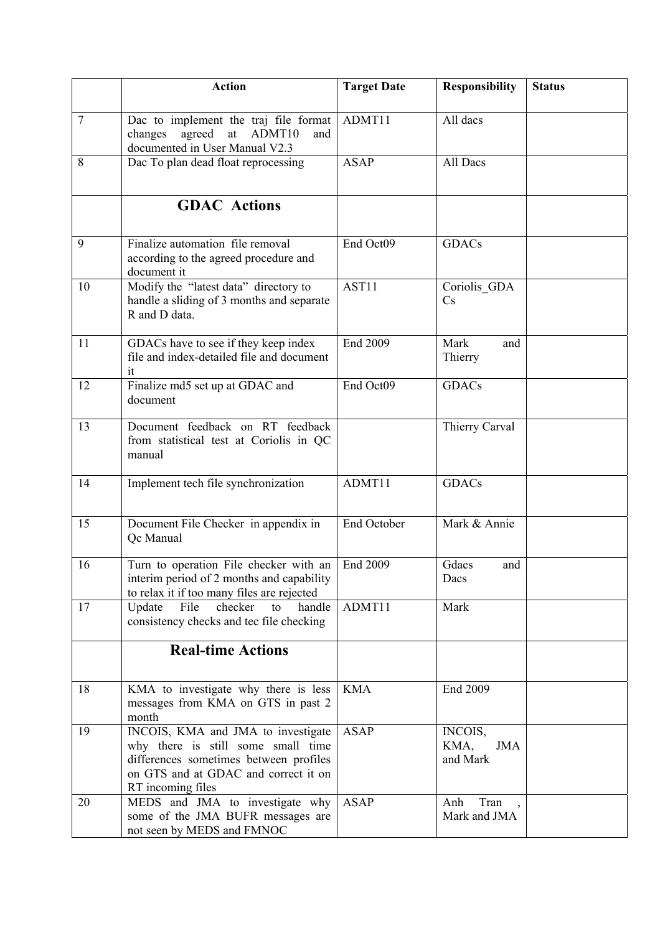|                | <b>Action</b>                                                                                                                                                                   | <b>Target Date</b> | <b>Responsibility</b>                     | <b>Status</b> |
|----------------|---------------------------------------------------------------------------------------------------------------------------------------------------------------------------------|--------------------|-------------------------------------------|---------------|
| $\overline{7}$ | Dac to implement the traj file format<br>agreed at<br>ADMT10<br>changes<br>and<br>documented in User Manual V2.3                                                                | ADMT11             | All dacs                                  |               |
| 8              | Dac To plan dead float reprocessing                                                                                                                                             | <b>ASAP</b>        | All Dacs                                  |               |
|                | <b>GDAC</b> Actions                                                                                                                                                             |                    |                                           |               |
| 9              | Finalize automation file removal<br>according to the agreed procedure and<br>document it                                                                                        | End Oct09          | <b>GDACs</b>                              |               |
| 10             | Modify the "latest data" directory to<br>handle a sliding of 3 months and separate<br>R and D data.                                                                             | AST11              | Coriolis GDA<br>$\mathbf{C}$ s            |               |
| 11             | GDACs have to see if they keep index<br>file and index-detailed file and document<br>it                                                                                         | End 2009           | Mark<br>and<br>Thierry                    |               |
| 12             | Finalize md5 set up at GDAC and<br>document                                                                                                                                     | End Oct09          | <b>GDACs</b>                              |               |
| 13             | Document feedback on RT feedback<br>from statistical test at Coriolis in QC<br>manual                                                                                           |                    | Thierry Carval                            |               |
| 14             | Implement tech file synchronization                                                                                                                                             | ADMT11             | <b>GDACs</b>                              |               |
| 15             | Document File Checker in appendix in<br>Qc Manual                                                                                                                               | End October        | Mark & Annie                              |               |
| 16             | Turn to operation File checker with an<br>interim period of 2 months and capability<br>to relax it if too many files are rejected                                               | End 2009           | Gdacs<br>and<br>Dacs                      |               |
| 17             | Update<br>File<br>checker<br>handle<br>to<br>consistency checks and tec file checking                                                                                           | ADMT <sub>11</sub> | Mark                                      |               |
|                | <b>Real-time Actions</b>                                                                                                                                                        |                    |                                           |               |
| 18             | KMA to investigate why there is less<br>messages from KMA on GTS in past 2<br>month                                                                                             | <b>KMA</b>         | End 2009                                  |               |
| 19             | INCOIS, KMA and JMA to investigate<br>why there is still some small time<br>differences sometimes between profiles<br>on GTS and at GDAC and correct it on<br>RT incoming files | <b>ASAP</b>        | INCOIS,<br>KMA,<br><b>JMA</b><br>and Mark |               |
| 20             | MEDS and JMA to investigate why<br>some of the JMA BUFR messages are<br>not seen by MEDS and FMNOC                                                                              | <b>ASAP</b>        | Tran<br>Anh<br>Mark and JMA               |               |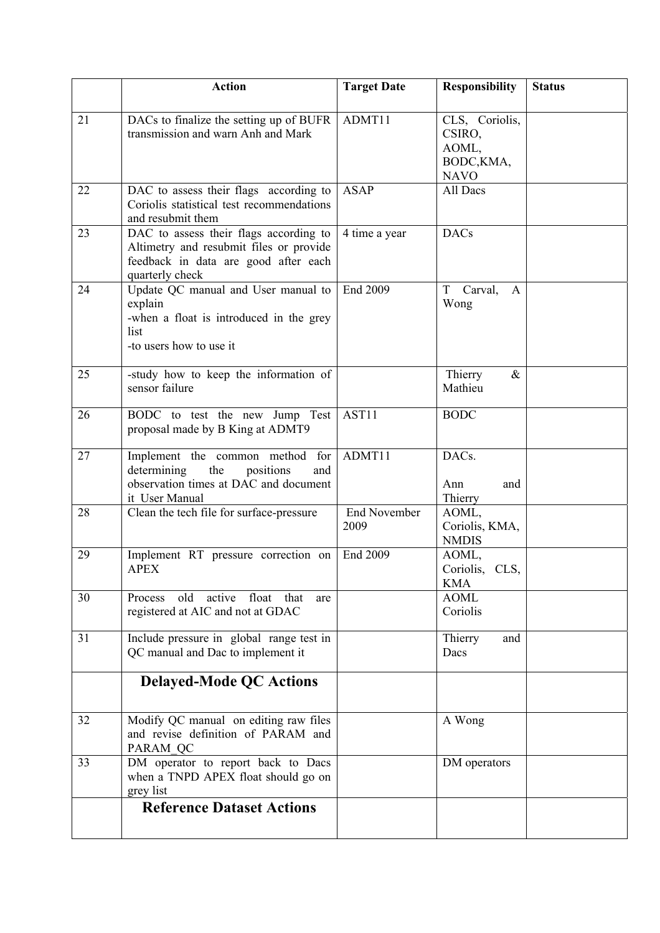|    | <b>Action</b>                                                                                                                                | <b>Target Date</b>          | <b>Responsibility</b>                                          | <b>Status</b> |
|----|----------------------------------------------------------------------------------------------------------------------------------------------|-----------------------------|----------------------------------------------------------------|---------------|
| 21 | DACs to finalize the setting up of BUFR<br>transmission and warn Anh and Mark                                                                | ADMT11                      | CLS, Coriolis,<br>CSIRO,<br>AOML,<br>BODC, KMA,<br><b>NAVO</b> |               |
| 22 | DAC to assess their flags according to<br>Coriolis statistical test recommendations<br>and resubmit them                                     | <b>ASAP</b>                 | All Dacs                                                       |               |
| 23 | DAC to assess their flags according to<br>Altimetry and resubmit files or provide<br>feedback in data are good after each<br>quarterly check | 4 time a year               | <b>DACs</b>                                                    |               |
| 24 | Update QC manual and User manual to<br>explain<br>-when a float is introduced in the grey<br>list<br>-to users how to use it                 | End 2009                    | $\mathbf T$<br>Carval,<br>A<br>Wong                            |               |
| 25 | -study how to keep the information of<br>sensor failure                                                                                      |                             | Thierry<br>$\&$<br>Mathieu                                     |               |
| 26 | BODC to test the new Jump Test<br>proposal made by B King at ADMT9                                                                           | AST11                       | <b>BODC</b>                                                    |               |
| 27 | Implement the common method for<br>determining<br>the<br>positions<br>and<br>observation times at DAC and document<br>it User Manual         | ADMT11                      | DACs.<br>Ann<br>and<br>Thierry                                 |               |
| 28 | Clean the tech file for surface-pressure                                                                                                     | <b>End November</b><br>2009 | AOML,<br>Coriolis, KMA,<br><b>NMDIS</b>                        |               |
| 29 | Implement RT pressure correction on<br><b>APEX</b>                                                                                           | End 2009                    | AOML,<br>Coriolis, CLS,<br><b>KMA</b>                          |               |
| 30 | Process old active float that<br>are<br>registered at AIC and not at GDAC                                                                    |                             | <b>AOML</b><br>Coriolis                                        |               |
| 31 | Include pressure in global range test in<br>QC manual and Dac to implement it                                                                |                             | Thierry<br>and<br>Dacs                                         |               |
|    | <b>Delayed-Mode QC Actions</b>                                                                                                               |                             |                                                                |               |
| 32 | Modify QC manual on editing raw files<br>and revise definition of PARAM and<br>PARAM QC                                                      |                             | A Wong                                                         |               |
| 33 | DM operator to report back to Dacs<br>when a TNPD APEX float should go on<br>grey list                                                       |                             | DM operators                                                   |               |
|    | <b>Reference Dataset Actions</b>                                                                                                             |                             |                                                                |               |